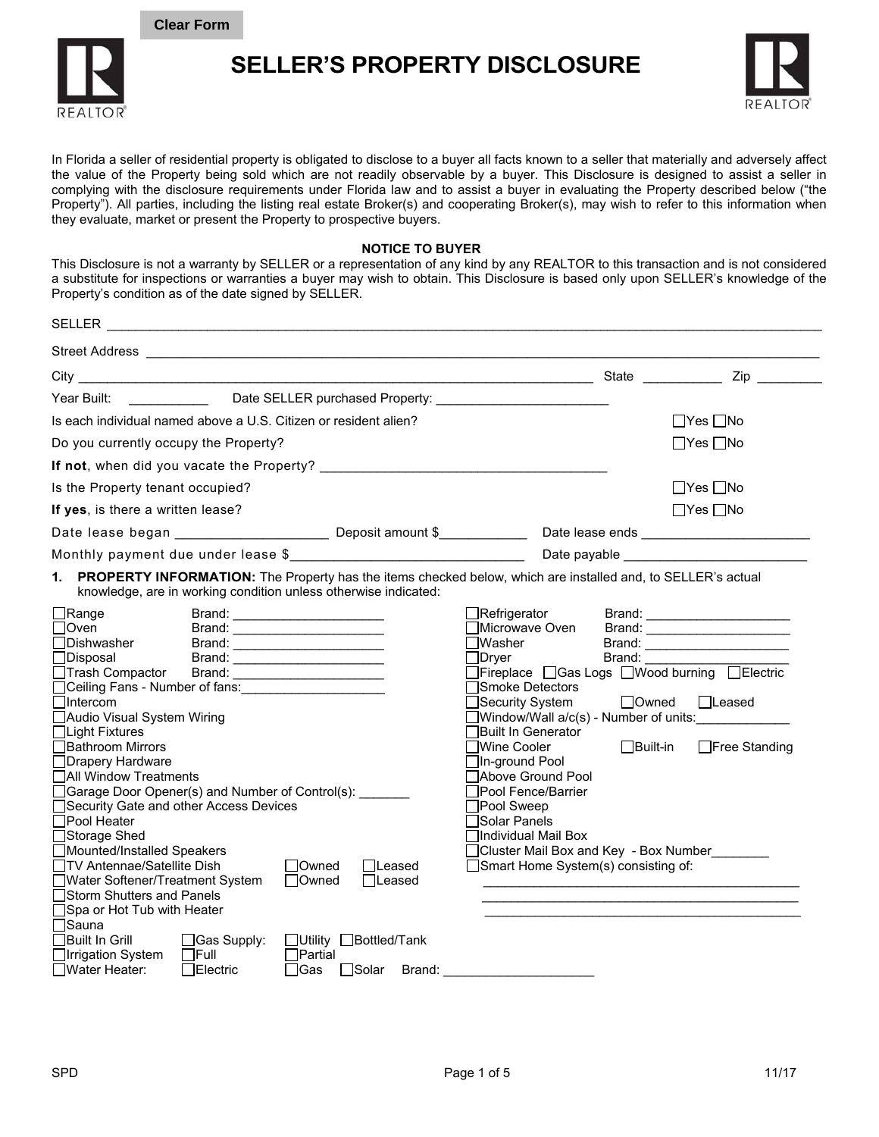**Clear Form**



**SELLER'S PROPERTY DISCLOSURE** 



In Florida a seller of residential property is obligated to disclose to a buyer all facts known to a seller that materially and adversely affect the value of the Property being sold which are not readily observable by a buyer. This Disclosure is designed to assist a seller in complying with the disclosure requirements under Florida law and to assist a buyer in evaluating the Property described below ("the Property"). All parties, including the listing real estate Broker(s) and cooperating Broker(s), may wish to refer to this information when they evaluate, market or present the Property to prospective buyers.

## **NOTICE TO BUYER**

This Disclosure is not a warranty by SELLER or a representation of any kind by any REALTOR to this transaction and is not considered a substitute for inspections or warranties a buyer may wish to obtain. This Disclosure is based only upon SELLER's knowledge of the Property's condition as of the date signed by SELLER.

|                      |                                                                                                                                                                                                                                                                                                                                                                                                                                                                                                                                            | $\mathsf{Zip}$                                                                                                                                                                                                                                                                                                                                                                                                                                                                                                         |
|----------------------|--------------------------------------------------------------------------------------------------------------------------------------------------------------------------------------------------------------------------------------------------------------------------------------------------------------------------------------------------------------------------------------------------------------------------------------------------------------------------------------------------------------------------------------------|------------------------------------------------------------------------------------------------------------------------------------------------------------------------------------------------------------------------------------------------------------------------------------------------------------------------------------------------------------------------------------------------------------------------------------------------------------------------------------------------------------------------|
|                      |                                                                                                                                                                                                                                                                                                                                                                                                                                                                                                                                            |                                                                                                                                                                                                                                                                                                                                                                                                                                                                                                                        |
|                      |                                                                                                                                                                                                                                                                                                                                                                                                                                                                                                                                            | $\Box$ Yes $\Box$ No                                                                                                                                                                                                                                                                                                                                                                                                                                                                                                   |
|                      |                                                                                                                                                                                                                                                                                                                                                                                                                                                                                                                                            | $\Box$ Yes $\Box$ No                                                                                                                                                                                                                                                                                                                                                                                                                                                                                                   |
|                      |                                                                                                                                                                                                                                                                                                                                                                                                                                                                                                                                            |                                                                                                                                                                                                                                                                                                                                                                                                                                                                                                                        |
|                      |                                                                                                                                                                                                                                                                                                                                                                                                                                                                                                                                            | $\Box$ Yes $\Box$ No                                                                                                                                                                                                                                                                                                                                                                                                                                                                                                   |
|                      |                                                                                                                                                                                                                                                                                                                                                                                                                                                                                                                                            | $\Box$ Yes $\Box$ No                                                                                                                                                                                                                                                                                                                                                                                                                                                                                                   |
|                      |                                                                                                                                                                                                                                                                                                                                                                                                                                                                                                                                            |                                                                                                                                                                                                                                                                                                                                                                                                                                                                                                                        |
|                      |                                                                                                                                                                                                                                                                                                                                                                                                                                                                                                                                            |                                                                                                                                                                                                                                                                                                                                                                                                                                                                                                                        |
|                      | $\Box$ Refrigerator<br>∏Microwave Oven<br>$\Box$ Dryer<br>∃Smoke Detectors<br>$\Box$ Security System<br>่ ∃Built In Generator<br>∏Wine Cooler                                                                                                                                                                                                                                                                                                                                                                                              | Brand: _______________________<br>Brand: ________________________<br>Brand: _________________________<br>Brand: The State of the State of the State of the State of the State of the State of the State of the State of the State of the State of the State of the State of the State of the State of the State of the State of the Sta<br>□Fireplace □Gas Logs □Wood burning □Electric<br>$\Box$ Owned<br>$\Box$ Leased<br>$\exists$ Window/Wall a/c(s) - Number of units: ______________<br>□Built-in □Free Standing |
| l lLeased<br>□Leased | □In-ground Pool<br>Above Ground Pool<br>∃Pool Fence/Barrier<br>□Pool Sweep<br>Solar Panels<br>∏Individual Mail Box<br>□Smart Home System(s) consisting of:                                                                                                                                                                                                                                                                                                                                                                                 | ∏Cluster Mail Box and Key -Box Number_________<br>the contract of the contract of the contract of the contract of the contract of the contract of the                                                                                                                                                                                                                                                                                                                                                                  |
|                      | Is each individual named above a U.S. Citizen or resident alien?<br>knowledge, are in working condition unless otherwise indicated:<br>Brand: __________________________<br>Brand: _________________________<br>Brand: _________________________<br><u> 2000 - Jan Samuel Barbara, poeta esta</u><br>□Ceiling Fans - Number of fans: <u>[1988]</u> Ceiling Fans + Number of fans:<br>□Garage Door Opener(s) and Number of Control(s):<br>Security Gate and other Access Devices<br>$\Box$ Owned<br><b>□Owned</b><br>□Utility □Bottled/Tank | PROPERTY INFORMATION: The Property has the items checked below, which are installed and, to SELLER's actual                                                                                                                                                                                                                                                                                                                                                                                                            |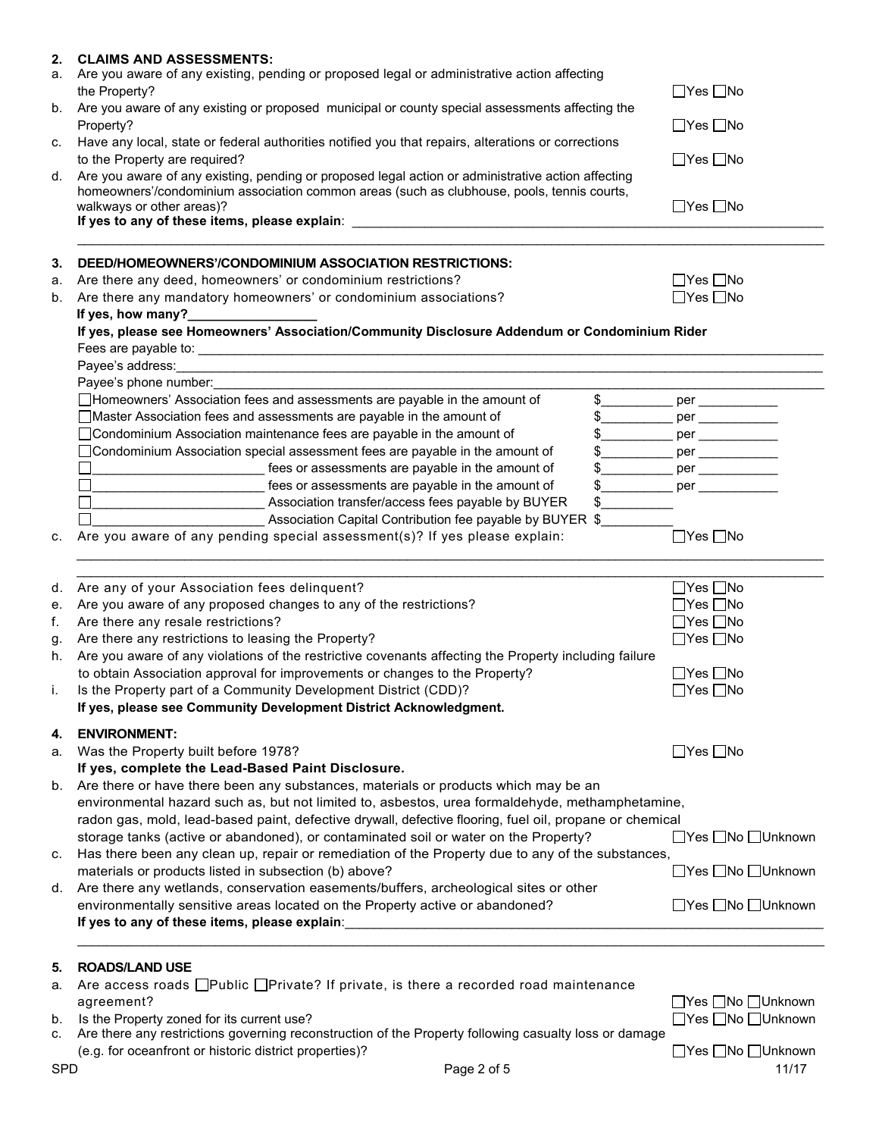| Are you aware of any existing, pending or proposed legal or administrative action affecting<br>the Property?<br>Are you aware of any existing or proposed municipal or county special assessments affecting the<br>Property?<br>Have any local, state or federal authorities notified you that repairs, alterations or corrections<br>to the Property are required?<br>Are you aware of any existing, pending or proposed legal action or administrative action affecting<br>homeowners'/condominium association common areas (such as clubhouse, pools, tennis courts,<br>walkways or other areas)?<br>If yes to any of these items, please explain: __________________________________<br>DEED/HOMEOWNERS'/CONDOMINIUM ASSOCIATION RESTRICTIONS:<br>Are there any deed, homeowners' or condominium restrictions?<br>Are there any mandatory homeowners' or condominium associations?<br>If yes, how many?_<br>If yes, please see Homeowners' Association/Community Disclosure Addendum or Condominium Rider | $\Box$ Yes $\Box$ No<br>$\Box$ Yes $\Box$ No<br>$\Box$ Yes $\Box$ No<br>$\Box$ Yes $\Box$ No<br>$\Box$ Yes $\Box$ No<br>$\Box$ Yes $\Box$ No |
|---------------------------------------------------------------------------------------------------------------------------------------------------------------------------------------------------------------------------------------------------------------------------------------------------------------------------------------------------------------------------------------------------------------------------------------------------------------------------------------------------------------------------------------------------------------------------------------------------------------------------------------------------------------------------------------------------------------------------------------------------------------------------------------------------------------------------------------------------------------------------------------------------------------------------------------------------------------------------------------------------------------|----------------------------------------------------------------------------------------------------------------------------------------------|
|                                                                                                                                                                                                                                                                                                                                                                                                                                                                                                                                                                                                                                                                                                                                                                                                                                                                                                                                                                                                               |                                                                                                                                              |
|                                                                                                                                                                                                                                                                                                                                                                                                                                                                                                                                                                                                                                                                                                                                                                                                                                                                                                                                                                                                               |                                                                                                                                              |
|                                                                                                                                                                                                                                                                                                                                                                                                                                                                                                                                                                                                                                                                                                                                                                                                                                                                                                                                                                                                               |                                                                                                                                              |
|                                                                                                                                                                                                                                                                                                                                                                                                                                                                                                                                                                                                                                                                                                                                                                                                                                                                                                                                                                                                               |                                                                                                                                              |
|                                                                                                                                                                                                                                                                                                                                                                                                                                                                                                                                                                                                                                                                                                                                                                                                                                                                                                                                                                                                               |                                                                                                                                              |
|                                                                                                                                                                                                                                                                                                                                                                                                                                                                                                                                                                                                                                                                                                                                                                                                                                                                                                                                                                                                               |                                                                                                                                              |
|                                                                                                                                                                                                                                                                                                                                                                                                                                                                                                                                                                                                                                                                                                                                                                                                                                                                                                                                                                                                               |                                                                                                                                              |
|                                                                                                                                                                                                                                                                                                                                                                                                                                                                                                                                                                                                                                                                                                                                                                                                                                                                                                                                                                                                               |                                                                                                                                              |
|                                                                                                                                                                                                                                                                                                                                                                                                                                                                                                                                                                                                                                                                                                                                                                                                                                                                                                                                                                                                               |                                                                                                                                              |
|                                                                                                                                                                                                                                                                                                                                                                                                                                                                                                                                                                                                                                                                                                                                                                                                                                                                                                                                                                                                               |                                                                                                                                              |
|                                                                                                                                                                                                                                                                                                                                                                                                                                                                                                                                                                                                                                                                                                                                                                                                                                                                                                                                                                                                               |                                                                                                                                              |
|                                                                                                                                                                                                                                                                                                                                                                                                                                                                                                                                                                                                                                                                                                                                                                                                                                                                                                                                                                                                               |                                                                                                                                              |
|                                                                                                                                                                                                                                                                                                                                                                                                                                                                                                                                                                                                                                                                                                                                                                                                                                                                                                                                                                                                               |                                                                                                                                              |
|                                                                                                                                                                                                                                                                                                                                                                                                                                                                                                                                                                                                                                                                                                                                                                                                                                                                                                                                                                                                               |                                                                                                                                              |
| Payee's phone number: Note and the state of the state of the state of the state of the state of the state of the state of the state of the state of the state of the state of the state of the state of the state of the state                                                                                                                                                                                                                                                                                                                                                                                                                                                                                                                                                                                                                                                                                                                                                                                |                                                                                                                                              |
| □Homeowners' Association fees and assessments are payable in the amount of                                                                                                                                                                                                                                                                                                                                                                                                                                                                                                                                                                                                                                                                                                                                                                                                                                                                                                                                    | \$______________ per _____________                                                                                                           |
| □ Master Association fees and assessments are payable in the amount of                                                                                                                                                                                                                                                                                                                                                                                                                                                                                                                                                                                                                                                                                                                                                                                                                                                                                                                                        |                                                                                                                                              |
| □ Condominium Association maintenance fees are payable in the amount of                                                                                                                                                                                                                                                                                                                                                                                                                                                                                                                                                                                                                                                                                                                                                                                                                                                                                                                                       |                                                                                                                                              |
| □ Condominium Association special assessment fees are payable in the amount of                                                                                                                                                                                                                                                                                                                                                                                                                                                                                                                                                                                                                                                                                                                                                                                                                                                                                                                                | \$_____________ per ____________                                                                                                             |
| rees or assessments are payable in the amount of                                                                                                                                                                                                                                                                                                                                                                                                                                                                                                                                                                                                                                                                                                                                                                                                                                                                                                                                                              | \$______________ per _____________                                                                                                           |
| rees or assessments are payable in the amount of                                                                                                                                                                                                                                                                                                                                                                                                                                                                                                                                                                                                                                                                                                                                                                                                                                                                                                                                                              | \$_____________ per ____________                                                                                                             |
| Association transfer/access fees payable by BUYER<br>$\frac{1}{2}$                                                                                                                                                                                                                                                                                                                                                                                                                                                                                                                                                                                                                                                                                                                                                                                                                                                                                                                                            |                                                                                                                                              |
| ◯ Association Capital Contribution fee payable by BUYER \$                                                                                                                                                                                                                                                                                                                                                                                                                                                                                                                                                                                                                                                                                                                                                                                                                                                                                                                                                    |                                                                                                                                              |
| Are you aware of any pending special assessment(s)? If yes please explain:                                                                                                                                                                                                                                                                                                                                                                                                                                                                                                                                                                                                                                                                                                                                                                                                                                                                                                                                    | $\Box$ Yes $\Box$ No                                                                                                                         |
| Are any of your Association fees delinquent?                                                                                                                                                                                                                                                                                                                                                                                                                                                                                                                                                                                                                                                                                                                                                                                                                                                                                                                                                                  | $\Box$ Yes $\Box$ No                                                                                                                         |
| Are you aware of any proposed changes to any of the restrictions?                                                                                                                                                                                                                                                                                                                                                                                                                                                                                                                                                                                                                                                                                                                                                                                                                                                                                                                                             | $\Box$ Yes $\Box$ No                                                                                                                         |
| Are there any resale restrictions?                                                                                                                                                                                                                                                                                                                                                                                                                                                                                                                                                                                                                                                                                                                                                                                                                                                                                                                                                                            | $\Box$ Yes $\Box$ No                                                                                                                         |
| Are there any restrictions to leasing the Property?                                                                                                                                                                                                                                                                                                                                                                                                                                                                                                                                                                                                                                                                                                                                                                                                                                                                                                                                                           | $\Box$ Yes $\Box$ No                                                                                                                         |
| Are you aware of any violations of the restrictive covenants affecting the Property including failure                                                                                                                                                                                                                                                                                                                                                                                                                                                                                                                                                                                                                                                                                                                                                                                                                                                                                                         |                                                                                                                                              |
| to obtain Association approval for improvements or changes to the Property?                                                                                                                                                                                                                                                                                                                                                                                                                                                                                                                                                                                                                                                                                                                                                                                                                                                                                                                                   | $\Box$ Yes $\Box$ No                                                                                                                         |
| Is the Property part of a Community Development District (CDD)?                                                                                                                                                                                                                                                                                                                                                                                                                                                                                                                                                                                                                                                                                                                                                                                                                                                                                                                                               | □Yes □No                                                                                                                                     |
| If yes, please see Community Development District Acknowledgment.                                                                                                                                                                                                                                                                                                                                                                                                                                                                                                                                                                                                                                                                                                                                                                                                                                                                                                                                             |                                                                                                                                              |
|                                                                                                                                                                                                                                                                                                                                                                                                                                                                                                                                                                                                                                                                                                                                                                                                                                                                                                                                                                                                               |                                                                                                                                              |
|                                                                                                                                                                                                                                                                                                                                                                                                                                                                                                                                                                                                                                                                                                                                                                                                                                                                                                                                                                                                               | $\Box$ Yes $\Box$ No                                                                                                                         |
| <b>ENVIRONMENT:</b>                                                                                                                                                                                                                                                                                                                                                                                                                                                                                                                                                                                                                                                                                                                                                                                                                                                                                                                                                                                           |                                                                                                                                              |
| Was the Property built before 1978?                                                                                                                                                                                                                                                                                                                                                                                                                                                                                                                                                                                                                                                                                                                                                                                                                                                                                                                                                                           |                                                                                                                                              |
| If yes, complete the Lead-Based Paint Disclosure.                                                                                                                                                                                                                                                                                                                                                                                                                                                                                                                                                                                                                                                                                                                                                                                                                                                                                                                                                             |                                                                                                                                              |
| b. Are there or have there been any substances, materials or products which may be an                                                                                                                                                                                                                                                                                                                                                                                                                                                                                                                                                                                                                                                                                                                                                                                                                                                                                                                         |                                                                                                                                              |
| environmental hazard such as, but not limited to, asbestos, urea formaldehyde, methamphetamine,                                                                                                                                                                                                                                                                                                                                                                                                                                                                                                                                                                                                                                                                                                                                                                                                                                                                                                               |                                                                                                                                              |
| radon gas, mold, lead-based paint, defective drywall, defective flooring, fuel oil, propane or chemical                                                                                                                                                                                                                                                                                                                                                                                                                                                                                                                                                                                                                                                                                                                                                                                                                                                                                                       |                                                                                                                                              |
| storage tanks (active or abandoned), or contaminated soil or water on the Property?                                                                                                                                                                                                                                                                                                                                                                                                                                                                                                                                                                                                                                                                                                                                                                                                                                                                                                                           | □Yes □No □Unknown                                                                                                                            |
| Has there been any clean up, repair or remediation of the Property due to any of the substances,<br>materials or products listed in subsection (b) above?                                                                                                                                                                                                                                                                                                                                                                                                                                                                                                                                                                                                                                                                                                                                                                                                                                                     | □Yes □No □Unknown                                                                                                                            |
|                                                                                                                                                                                                                                                                                                                                                                                                                                                                                                                                                                                                                                                                                                                                                                                                                                                                                                                                                                                                               |                                                                                                                                              |
| d. Are there any wetlands, conservation easements/buffers, archeological sites or other<br>environmentally sensitive areas located on the Property active or abandoned?                                                                                                                                                                                                                                                                                                                                                                                                                                                                                                                                                                                                                                                                                                                                                                                                                                       | □Yes □No □Unknown                                                                                                                            |
|                                                                                                                                                                                                                                                                                                                                                                                                                                                                                                                                                                                                                                                                                                                                                                                                                                                                                                                                                                                                               |                                                                                                                                              |

|                                                                                                                                   | TYes Mo DUnknown |
|-----------------------------------------------------------------------------------------------------------------------------------|------------------|
| $\mathbf{L} = \mathbf{L} \cdot \mathbf{L}$ is the Direct substitution of $\mathbf{L}$ in the compact of $\mathbf{L} = \mathbf{0}$ | $\Box$           |

| agreement?                                    |  |                                                                                                           | □Yes □No □Unknown |
|-----------------------------------------------|--|-----------------------------------------------------------------------------------------------------------|-------------------|
| b. Is the Property zoned for its current use? |  |                                                                                                           |                   |
|                                               |  | o a Ara thara any restrictions coverning resemptruction of the Dreporty following sequelty logs or demons |                   |

c. Are there any restrictions governing reconstruction of the Property following casualty loss or damage (e.g. for oceanfront or historic district properties)?

|  | Yes    No    Unknown |
|--|----------------------|
|  | 1117                 |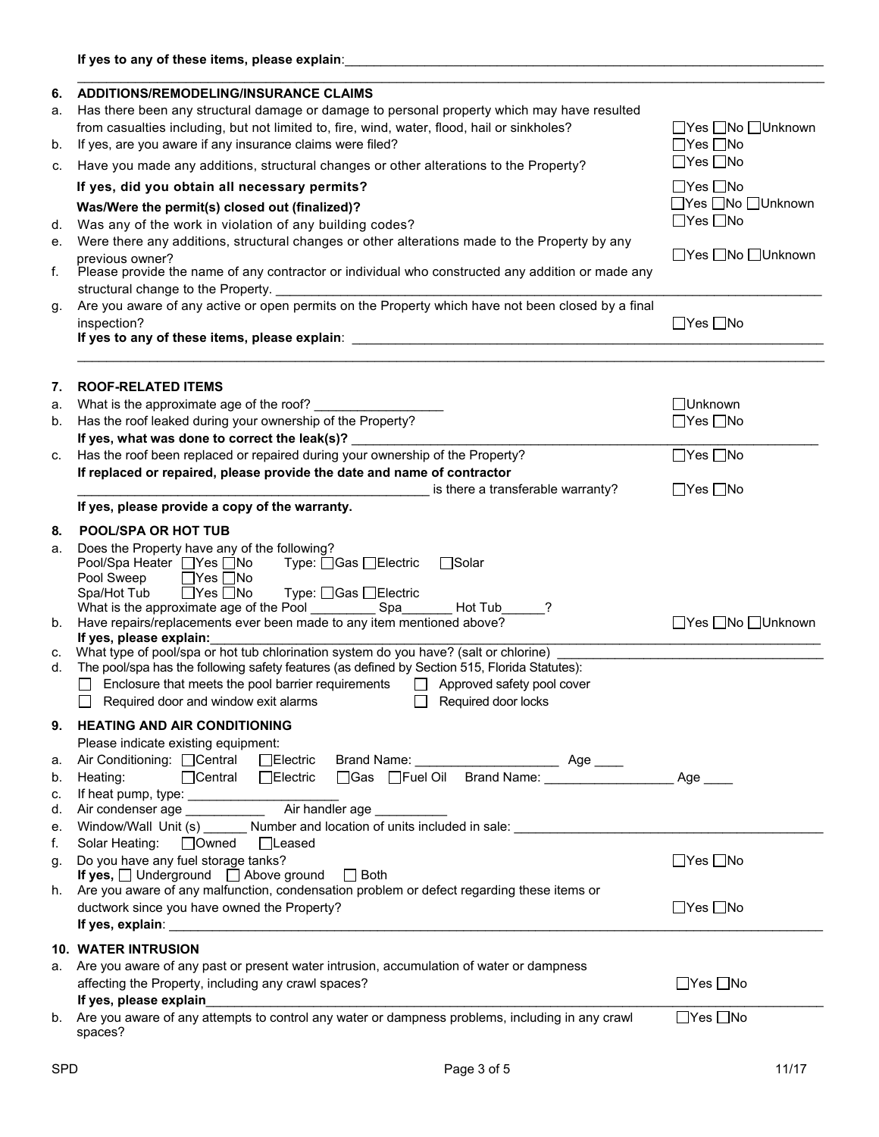| 6. | <b>ADDITIONS/REMODELING/INSURANCE CLAIMS</b>                                                                                                      |                      |
|----|---------------------------------------------------------------------------------------------------------------------------------------------------|----------------------|
| а. | Has there been any structural damage or damage to personal property which may have resulted                                                       |                      |
|    | from casualties including, but not limited to, fire, wind, water, flood, hail or sinkholes?                                                       | □Yes □No □Unknown    |
| b. | If yes, are you aware if any insurance claims were filed?                                                                                         | $\Box$ Yes $\Box$ No |
| C. | Have you made any additions, structural changes or other alterations to the Property?                                                             | $\Box$ Yes $\Box$ No |
|    | If yes, did you obtain all necessary permits?                                                                                                     | $\Box$ Yes $\Box$ No |
|    | Was/Were the permit(s) closed out (finalized)?                                                                                                    | _Yes _No _Unknown    |
| d. | Was any of the work in violation of any building codes?                                                                                           | $\Box$ Yes $\Box$ No |
| е. | Were there any additions, structural changes or other alterations made to the Property by any                                                     |                      |
|    | previous owner?                                                                                                                                   | □Yes □No □Unknown    |
| f. | Please provide the name of any contractor or individual who constructed any addition or made any<br>structural change to the Property.            |                      |
| g. | Are you aware of any active or open permits on the Property which have not been closed by a final                                                 |                      |
|    | inspection?                                                                                                                                       | $\Box$ Yes $\Box$ No |
|    |                                                                                                                                                   |                      |
|    |                                                                                                                                                   |                      |
| 7. | <b>ROOF-RELATED ITEMS</b>                                                                                                                         |                      |
| a. | What is the approximate age of the roof?                                                                                                          | □Unknown             |
| b. | Has the roof leaked during your ownership of the Property?                                                                                        | $\Box$ Yes $\Box$ No |
|    | If yes, what was done to correct the leak(s)?                                                                                                     |                      |
| C. | Has the roof been replaced or repaired during your ownership of the Property?                                                                     | $\Box$ Yes $\Box$ No |
|    | If replaced or repaired, please provide the date and name of contractor                                                                           |                      |
|    | is there a transferable warranty?                                                                                                                 | $\Box$ Yes $\Box$ No |
|    | If yes, please provide a copy of the warranty.                                                                                                    |                      |
| 8. | POOL/SPA OR HOT TUB                                                                                                                               |                      |
| a. | Does the Property have any of the following?                                                                                                      |                      |
|    | Pool/Spa Heater □ Yes □ No<br>Type: □Gas □Electric<br>$\Box$ Solar                                                                                |                      |
|    | Pool Sweep<br>$\Box$ Yes $\Box$ No                                                                                                                |                      |
|    | Spa/Hot Tub<br>$\Box$ Yes $\Box$ No<br>Type: □Gas □Electric                                                                                       |                      |
|    | What is the approximate age of the Pool _________<br>Spa<br>Hot Tub<br>?<br>Have repairs/replacements ever been made to any item mentioned above? | □Yes □No □Unknown    |
| b. | If yes, please explain:                                                                                                                           |                      |
| c. | What type of pool/spa or hot tub chlorination system do you have? (salt or chlorine)                                                              |                      |
| d. | The pool/spa has the following safety features (as defined by Section 515, Florida Statutes):                                                     |                      |
|    | Enclosure that meets the pool barrier requirements<br>$\Box$ Approved safety pool cover                                                           |                      |
|    | Required door and window exit alarms<br>Required door locks                                                                                       |                      |
| 9. | <b>HEATING AND AIR CONDITIONING</b>                                                                                                               |                      |
|    | Please indicate existing equipment:                                                                                                               |                      |
| а. | Air Conditioning: <b>□ Central</b> □ Electric                                                                                                     |                      |
| b. | $\Box$ Central<br>$\Box$ Electric<br>Heating:                                                                                                     | Age $\_\_$           |
| c. |                                                                                                                                                   |                      |
| d. |                                                                                                                                                   |                      |
| е. | Window/Wall Unit (s) _______ Number and location of units included in sale: _____                                                                 |                      |
| f. | Solar Heating:<br>$\Box$ Owned<br>$\Box$ Leased                                                                                                   |                      |
| g. | Do you have any fuel storage tanks?                                                                                                               | $\Box$ Yes $\Box$ No |
| h. | If yes, Underground Above ground<br>$\Box$ Both<br>Are you aware of any malfunction, condensation problem or defect regarding these items or      |                      |
|    | ductwork since you have owned the Property?                                                                                                       | $\Box$ Yes $\Box$ No |
|    |                                                                                                                                                   |                      |
|    |                                                                                                                                                   |                      |
|    | <b>10. WATER INTRUSION</b>                                                                                                                        |                      |
|    | a. Are you aware of any past or present water intrusion, accumulation of water or dampness                                                        |                      |
|    | affecting the Property, including any crawl spaces?                                                                                               | $\Box$ Yes $\Box$ No |
|    | If yes, please explain<br>b. Are you aware of any attempts to control any water or dampness problems, including in any crawl                      | $\Box$ Yes $\Box$ No |
|    | spaces?                                                                                                                                           |                      |
|    |                                                                                                                                                   |                      |

\_\_\_\_\_\_\_\_\_\_\_\_\_\_\_\_\_\_\_\_\_\_\_\_\_\_\_\_\_\_\_\_\_\_\_\_\_\_\_\_\_\_\_\_\_\_\_\_\_\_\_\_\_\_\_\_\_\_\_\_\_\_\_\_\_\_\_\_\_\_\_\_\_\_\_\_\_\_\_\_\_\_\_\_\_\_\_\_\_\_\_\_\_\_\_\_\_\_\_\_\_\_\_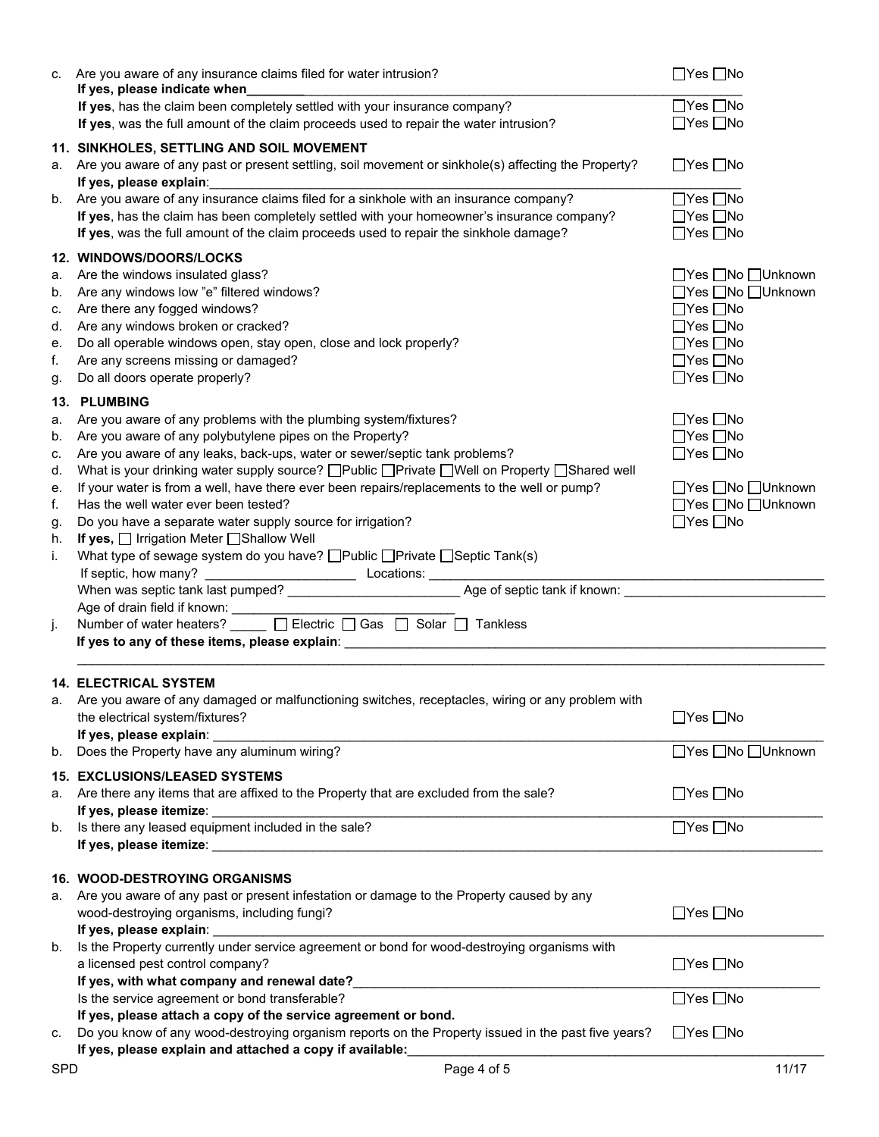| C. | Are you aware of any insurance claims filed for water intrusion?<br>If yes, please indicate when                                                                               | $\Box$ Yes $\Box$ No |
|----|--------------------------------------------------------------------------------------------------------------------------------------------------------------------------------|----------------------|
|    | If yes, has the claim been completely settled with your insurance company?                                                                                                     | $\Box$ Yes $\Box$ No |
|    | If yes, was the full amount of the claim proceeds used to repair the water intrusion?                                                                                          | ∏Yes ∏No             |
|    |                                                                                                                                                                                |                      |
|    | 11. SINKHOLES, SETTLING AND SOIL MOVEMENT<br>a. Are you aware of any past or present settling, soil movement or sinkhole(s) affecting the Property?<br>If yes, please explain: | $\Box$ Yes $\Box$ No |
| b. | Are you aware of any insurance claims filed for a sinkhole with an insurance company?                                                                                          | $\Box$ Yes $\Box$ No |
|    | If yes, has the claim has been completely settled with your homeowner's insurance company?                                                                                     | $\Box$ Yes $\Box$ No |
|    | If yes, was the full amount of the claim proceeds used to repair the sinkhole damage?                                                                                          | $\Box$ Yes $\Box$ No |
|    |                                                                                                                                                                                |                      |
|    | <b>12. WINDOWS/DOORS/LOCKS</b>                                                                                                                                                 |                      |
| a. | Are the windows insulated glass?                                                                                                                                               | □Yes □No □Unknown    |
| b. | Are any windows low "e" filtered windows?                                                                                                                                      | □Yes □No □Unknown    |
| c. | Are there any fogged windows?                                                                                                                                                  | $\Box$ Yes $\Box$ No |
| d. | Are any windows broken or cracked?                                                                                                                                             | $\Box$ Yes $\Box$ No |
| е. | Do all operable windows open, stay open, close and lock properly?                                                                                                              | $\Box$ Yes $\Box$ No |
|    |                                                                                                                                                                                |                      |
| f. | Are any screens missing or damaged?                                                                                                                                            | $\Box$ Yes $\Box$ No |
| g. | Do all doors operate properly?                                                                                                                                                 | $\Box$ Yes $\Box$ No |
|    | 13. PLUMBING                                                                                                                                                                   |                      |
| а. | Are you aware of any problems with the plumbing system/fixtures?                                                                                                               | ∏Yes ∏No             |
| b. | Are you aware of any polybutylene pipes on the Property?                                                                                                                       | $\Box$ Yes $\Box$ No |
|    | Are you aware of any leaks, back-ups, water or sewer/septic tank problems?                                                                                                     | $\Box$ Yes $\Box$ No |
| C. | What is your drinking water supply source? □Public □Private □Well on Property □Shared well                                                                                     |                      |
| d. |                                                                                                                                                                                |                      |
| е. | If your water is from a well, have there ever been repairs/replacements to the well or pump?                                                                                   | □Yes □No □Unknown    |
| f. | Has the well water ever been tested?                                                                                                                                           | □Yes □No □Unknown    |
| g. | Do you have a separate water supply source for irrigation?                                                                                                                     | $\Box$ Yes $\Box$ No |
| h. | <b>If yes, □ Irrigation Meter □ Shallow Well</b>                                                                                                                               |                      |
| i. | What type of sewage system do you have? □ Public □ Private □ Septic Tank(s)                                                                                                    |                      |
|    |                                                                                                                                                                                |                      |
|    |                                                                                                                                                                                |                      |
|    |                                                                                                                                                                                |                      |
| j. |                                                                                                                                                                                |                      |
|    |                                                                                                                                                                                |                      |
|    |                                                                                                                                                                                |                      |
|    |                                                                                                                                                                                |                      |
|    |                                                                                                                                                                                |                      |
|    | <b>14. ELECTRICAL SYSTEM</b>                                                                                                                                                   |                      |
|    | a. Are you aware of any damaged or malfunctioning switches, receptacles, wiring or any problem with                                                                            |                      |
|    | the electrical system/fixtures?                                                                                                                                                | $\Box$ Yes $\Box$ No |
|    | If yes, please explain:                                                                                                                                                        |                      |
| b. | Does the Property have any aluminum wiring?                                                                                                                                    | □Yes □No □Unknown    |
|    |                                                                                                                                                                                |                      |
|    | <b>15. EXCLUSIONS/LEASED SYSTEMS</b>                                                                                                                                           |                      |
| a. | Are there any items that are affixed to the Property that are excluded from the sale?                                                                                          | $\Box$ Yes $\Box$ No |
|    |                                                                                                                                                                                |                      |
| b. | Is there any leased equipment included in the sale?                                                                                                                            | $\Box$ Yes $\Box$ No |
|    |                                                                                                                                                                                |                      |
|    |                                                                                                                                                                                |                      |
|    | <b>16. WOOD-DESTROYING ORGANISMS</b>                                                                                                                                           |                      |
| а. | Are you aware of any past or present infestation or damage to the Property caused by any                                                                                       |                      |
|    | wood-destroying organisms, including fungi?                                                                                                                                    | $\Box$ Yes $\Box$ No |
|    | If yes, please explain:                                                                                                                                                        |                      |
| b. | Is the Property currently under service agreement or bond for wood-destroying organisms with                                                                                   |                      |
|    | a licensed pest control company?                                                                                                                                               | $\Box$ Yes $\Box$ No |
|    | If yes, with what company and renewal date?<br><u> 1980 - Jan Barbara, martin da kasar Amerika Indonesia.</u>                                                                  |                      |
|    | Is the service agreement or bond transferable?                                                                                                                                 | $\Box$ Yes $\Box$ No |
|    | If yes, please attach a copy of the service agreement or bond.                                                                                                                 |                      |
| C. | Do you know of any wood-destroying organism reports on the Property issued in the past five years?                                                                             | $\Box$ Yes $\Box$ No |
|    | If yes, please explain and attached a copy if available:<br>the control of the control of the control of the control of the control of                                         |                      |